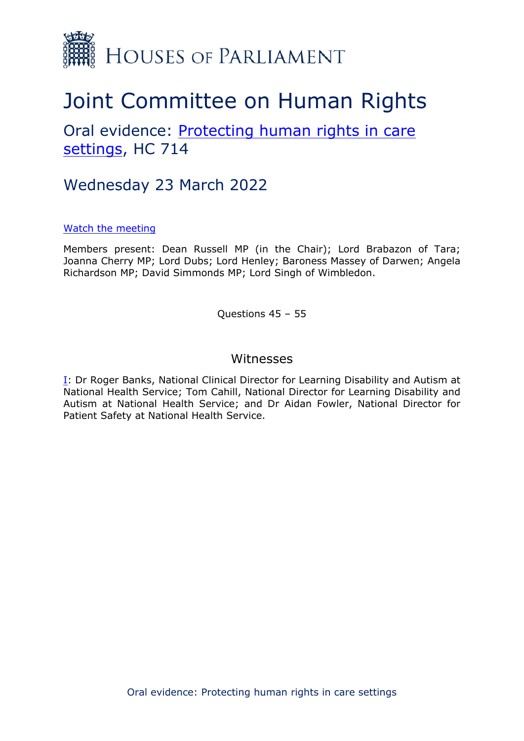

# Joint Committee on Human Rights

# Oral evidence: [Protecting](https://committees.parliament.uk/work/1495/protecting-human-rights-in-care-settings/) [human](https://committees.parliament.uk/work/1495/protecting-human-rights-in-care-settings/) [rights](https://committees.parliament.uk/work/1495/protecting-human-rights-in-care-settings/) [in](https://committees.parliament.uk/work/1495/protecting-human-rights-in-care-settings/) [care](https://committees.parliament.uk/work/1495/protecting-human-rights-in-care-settings/) [settings](https://committees.parliament.uk/work/1495/protecting-human-rights-in-care-settings/), HC 714

# Wednesday 23 March 2022

#### [Watch](https://parliamentlive.tv/event/index/ed1dcf4f-1808-4365-9373-6dbf176bef6f) [the](https://parliamentlive.tv/event/index/ed1dcf4f-1808-4365-9373-6dbf176bef6f) [meeting](https://parliamentlive.tv/event/index/ed1dcf4f-1808-4365-9373-6dbf176bef6f)

Members present: Dean Russell MP (in the Chair); Lord Brabazon of Tara; Joanna Cherry MP; Lord Dubs; Lord Henley; Baroness Massey of Darwen; Angela Richardson MP; David Simmonds MP; Lord Singh of Wimbledon.

Questions 45 – 55

### Witnesses

[I:](#page-1-0) Dr Roger Banks, National Clinical Director for Learning Disability and Autism at National Health Service; Tom Cahill, National Director for Learning Disability and Autism at National Health Service; and Dr Aidan Fowler, National Director for Patient Safety at National Health Service.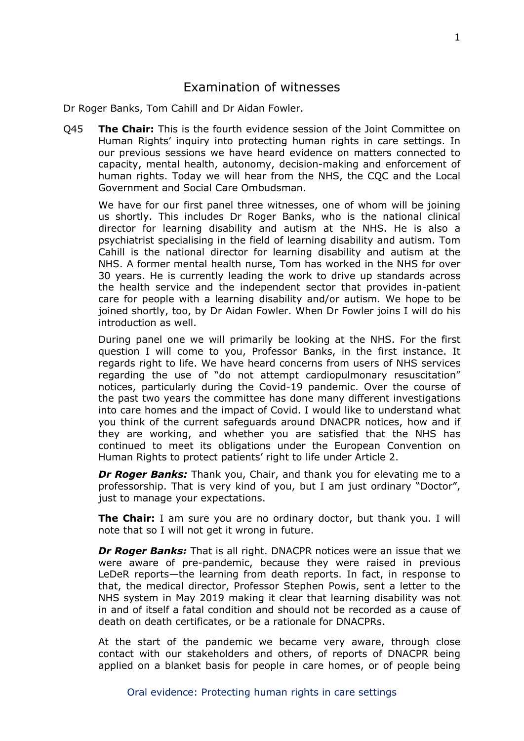### <span id="page-1-0"></span>Examination of witnesses

Dr Roger Banks, Tom Cahill and Dr Aidan Fowler.

Q45 **The Chair:** This is the fourth evidence session of the Joint Committee on Human Rights' inquiry into protecting human rights in care settings. In our previous sessions we have heard evidence on matters connected to capacity, mental health, autonomy, decision-making and enforcement of human rights. Today we will hear from the NHS, the CQC and the Local Government and Social Care Ombudsman.

We have for our first panel three witnesses, one of whom will be joining us shortly. This includes Dr Roger Banks, who is the national clinical director for learning disability and autism at the NHS. He is also a psychiatrist specialising in the field of learning disability and autism. Tom Cahill is the national director for learning disability and autism at the NHS. A former mental health nurse, Tom has worked in the NHS for over 30 years. He is currently leading the work to drive up standards across the health service and the independent sector that provides in-patient care for people with a learning disability and/or autism. We hope to be joined shortly, too, by Dr Aidan Fowler. When Dr Fowler joins I will do his introduction as well.

During panel one we will primarily be looking at the NHS. For the first question I will come to you, Professor Banks, in the first instance. It regards right to life. We have heard concerns from users of NHS services regarding the use of "do not attempt cardiopulmonary resuscitation" notices, particularly during the Covid-19 pandemic. Over the course of the past two years the committee has done many different investigations into care homes and the impact of Covid. I would like to understand what you think of the current safeguards around DNACPR notices, how and if they are working, and whether you are satisfied that the NHS has continued to meet its obligations under the European Convention on Human Rights to protect patients' right to life under Article 2.

*Dr Roger Banks:* Thank you, Chair, and thank you for elevating me to a professorship. That is very kind of you, but I am just ordinary "Doctor", just to manage your expectations.

**The Chair:** I am sure you are no ordinary doctor, but thank you. I will note that so I will not get it wrong in future.

*Dr Roger Banks:* That is all right. DNACPR notices were an issue that we were aware of pre-pandemic, because they were raised in previous LeDeR reports—the learning from death reports. In fact, in response to that, the medical director, Professor Stephen Powis, sent a letter to the NHS system in May 2019 making it clear that learning disability was not in and of itself a fatal condition and should not be recorded as a cause of death on death certificates, or be a rationale for DNACPRs.

At the start of the pandemic we became very aware, through close contact with our stakeholders and others, of reports of DNACPR being applied on a blanket basis for people in care homes, or of people being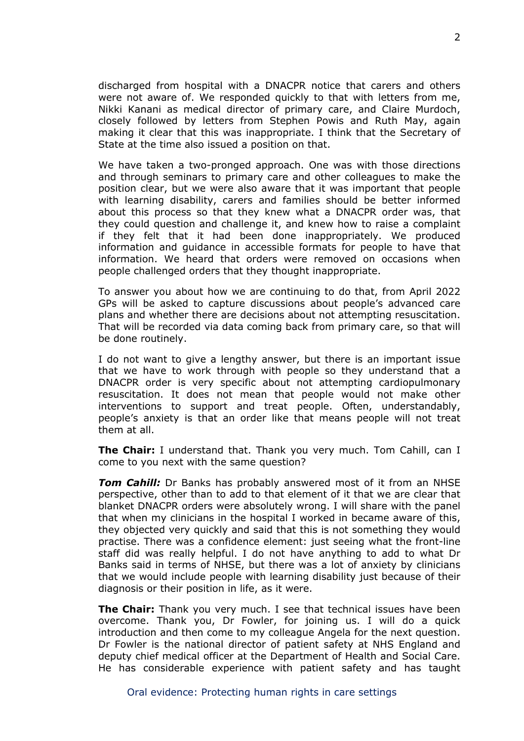discharged from hospital with a DNACPR notice that carers and others were not aware of. We responded quickly to that with letters from me, Nikki Kanani as medical director of primary care, and Claire Murdoch, closely followed by letters from Stephen Powis and Ruth May, again making it clear that this was inappropriate. I think that the Secretary of State at the time also issued a position on that.

We have taken a two-pronged approach. One was with those directions and through seminars to primary care and other colleagues to make the position clear, but we were also aware that it was important that people with learning disability, carers and families should be better informed about this process so that they knew what a DNACPR order was, that they could question and challenge it, and knew how to raise a complaint if they felt that it had been done inappropriately. We produced information and guidance in accessible formats for people to have that information. We heard that orders were removed on occasions when people challenged orders that they thought inappropriate.

To answer you about how we are continuing to do that, from April 2022 GPs will be asked to capture discussions about people's advanced care plans and whether there are decisions about not attempting resuscitation. That will be recorded via data coming back from primary care, so that will be done routinely.

I do not want to give a lengthy answer, but there is an important issue that we have to work through with people so they understand that a DNACPR order is very specific about not attempting cardiopulmonary resuscitation. It does not mean that people would not make other interventions to support and treat people. Often, understandably, people's anxiety is that an order like that means people will not treat them at all.

**The Chair:** I understand that. Thank you very much. Tom Cahill, can I come to you next with the same question?

**Tom Cahill:** Dr Banks has probably answered most of it from an NHSE perspective, other than to add to that element of it that we are clear that blanket DNACPR orders were absolutely wrong. I will share with the panel that when my clinicians in the hospital I worked in became aware of this, they objected very quickly and said that this is not something they would practise. There was a confidence element: just seeing what the front-line staff did was really helpful. I do not have anything to add to what Dr Banks said in terms of NHSE, but there was a lot of anxiety by clinicians that we would include people with learning disability just because of their diagnosis or their position in life, as it were.

**The Chair:** Thank you very much. I see that technical issues have been overcome. Thank you, Dr Fowler, for joining us. I will do a quick introduction and then come to my colleague Angela for the next question. Dr Fowler is the national director of patient safety at NHS England and deputy chief medical officer at the Department of Health and Social Care. He has considerable experience with patient safety and has taught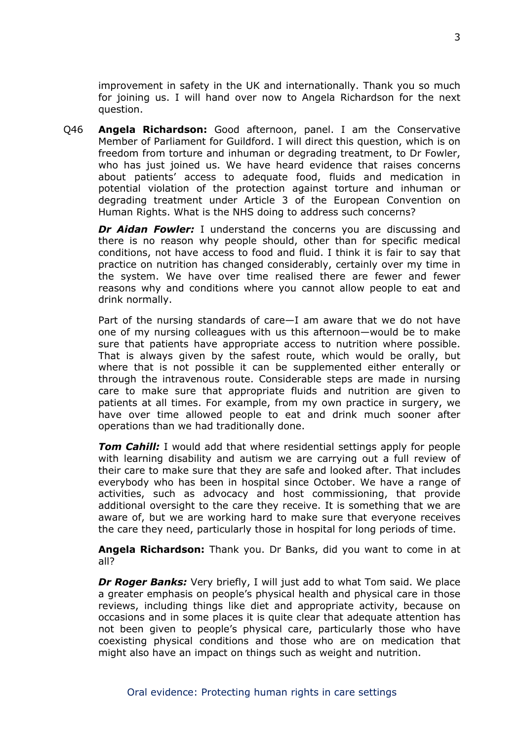improvement in safety in the UK and internationally. Thank you so much for joining us. I will hand over now to Angela Richardson for the next question.

Q46 **Angela Richardson:** Good afternoon, panel. I am the Conservative Member of Parliament for Guildford. I will direct this question, which is on freedom from torture and inhuman or degrading treatment, to Dr Fowler, who has just joined us. We have heard evidence that raises concerns about patients' access to adequate food, fluids and medication in potential violation of the protection against torture and inhuman or degrading treatment under Article 3 of the European Convention on Human Rights. What is the NHS doing to address such concerns?

*Dr Aidan Fowler:* I understand the concerns you are discussing and there is no reason why people should, other than for specific medical conditions, not have access to food and fluid. I think it is fair to say that practice on nutrition has changed considerably, certainly over my time in the system. We have over time realised there are fewer and fewer reasons why and conditions where you cannot allow people to eat and drink normally.

Part of the nursing standards of care—I am aware that we do not have one of my nursing colleagues with us this afternoon—would be to make sure that patients have appropriate access to nutrition where possible. That is always given by the safest route, which would be orally, but where that is not possible it can be supplemented either enterally or through the intravenous route. Considerable steps are made in nursing care to make sure that appropriate fluids and nutrition are given to patients at all times. For example, from my own practice in surgery, we have over time allowed people to eat and drink much sooner after operations than we had traditionally done.

*Tom Cahill:* I would add that where residential settings apply for people with learning disability and autism we are carrying out a full review of their care to make sure that they are safe and looked after. That includes everybody who has been in hospital since October. We have a range of activities, such as advocacy and host commissioning, that provide additional oversight to the care they receive. It is something that we are aware of, but we are working hard to make sure that everyone receives the care they need, particularly those in hospital for long periods of time.

**Angela Richardson:** Thank you. Dr Banks, did you want to come in at all?

*Dr Roger Banks: Very briefly, I will just add to what Tom said. We place* a greater emphasis on people's physical health and physical care in those reviews, including things like diet and appropriate activity, because on occasions and in some places it is quite clear that adequate attention has not been given to people's physical care, particularly those who have coexisting physical conditions and those who are on medication that might also have an impact on things such as weight and nutrition.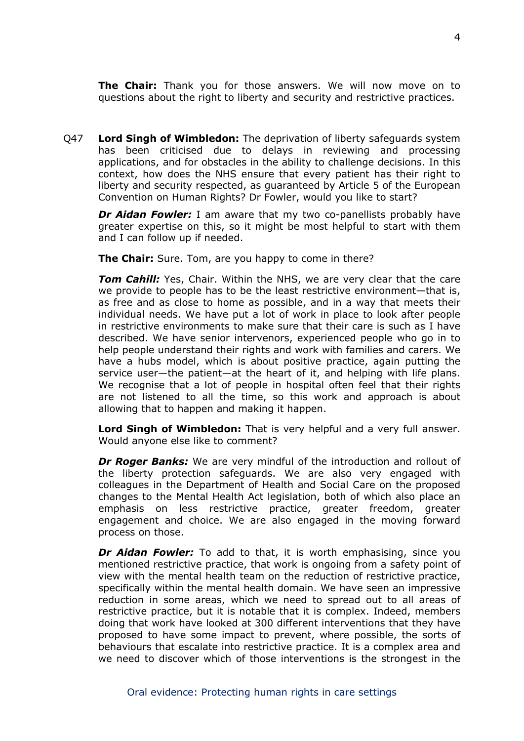**The Chair:** Thank you for those answers. We will now move on to questions about the right to liberty and security and restrictive practices.

Q47 **Lord Singh of Wimbledon:** The deprivation of liberty safeguards system has been criticised due to delays in reviewing and processing applications, and for obstacles in the ability to challenge decisions. In this context, how does the NHS ensure that every patient has their right to liberty and security respected, as guaranteed by Article 5 of the European Convention on Human Rights? Dr Fowler, would you like to start?

*Dr Aidan Fowler:* I am aware that my two co-panellists probably have greater expertise on this, so it might be most helpful to start with them and I can follow up if needed.

**The Chair:** Sure. Tom, are you happy to come in there?

*Tom Cahill:* Yes, Chair. Within the NHS, we are very clear that the care we provide to people has to be the least restrictive environment—that is, as free and as close to home as possible, and in a way that meets their individual needs. We have put a lot of work in place to look after people in restrictive environments to make sure that their care is such as I have described. We have senior intervenors, experienced people who go in to help people understand their rights and work with families and carers. We have a hubs model, which is about positive practice, again putting the service user—the patient—at the heart of it, and helping with life plans. We recognise that a lot of people in hospital often feel that their rights are not listened to all the time, so this work and approach is about allowing that to happen and making it happen.

**Lord Singh of Wimbledon:** That is very helpful and a very full answer. Would anyone else like to comment?

*Dr Roger Banks:* We are very mindful of the introduction and rollout of the liberty protection safeguards. We are also very engaged with colleagues in the Department of Health and Social Care on the proposed changes to the Mental Health Act legislation, both of which also place an emphasis on less restrictive practice, greater freedom, greater engagement and choice. We are also engaged in the moving forward process on those.

*Dr Aidan Fowler:* To add to that, it is worth emphasising, since you mentioned restrictive practice, that work is ongoing from a safety point of view with the mental health team on the reduction of restrictive practice, specifically within the mental health domain. We have seen an impressive reduction in some areas, which we need to spread out to all areas of restrictive practice, but it is notable that it is complex. Indeed, members doing that work have looked at 300 different interventions that they have proposed to have some impact to prevent, where possible, the sorts of behaviours that escalate into restrictive practice. It is a complex area and we need to discover which of those interventions is the strongest in the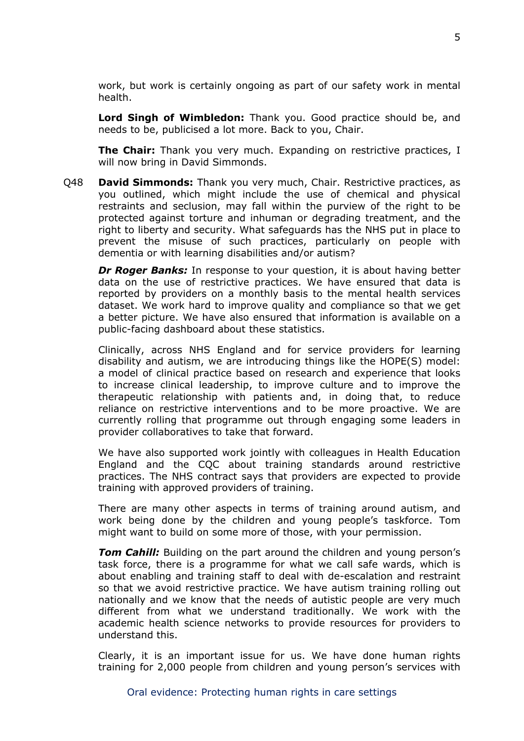work, but work is certainly ongoing as part of our safety work in mental health.

**Lord Singh of Wimbledon:** Thank you. Good practice should be, and needs to be, publicised a lot more. Back to you, Chair.

**The Chair:** Thank you very much. Expanding on restrictive practices, I will now bring in David Simmonds.

Q48 **David Simmonds:** Thank you very much, Chair. Restrictive practices, as you outlined, which might include the use of chemical and physical restraints and seclusion, may fall within the purview of the right to be protected against torture and inhuman or degrading treatment, and the right to liberty and security. What safeguards has the NHS put in place to prevent the misuse of such practices, particularly on people with dementia or with learning disabilities and/or autism?

*Dr Roger Banks:* In response to your question, it is about having better data on the use of restrictive practices. We have ensured that data is reported by providers on a monthly basis to the mental health services dataset. We work hard to improve quality and compliance so that we get a better picture. We have also ensured that information is available on a public-facing dashboard about these statistics.

Clinically, across NHS England and for service providers for learning disability and autism, we are introducing things like the HOPE(S) model: a model of clinical practice based on research and experience that looks to increase clinical leadership, to improve culture and to improve the therapeutic relationship with patients and, in doing that, to reduce reliance on restrictive interventions and to be more proactive. We are currently rolling that programme out through engaging some leaders in provider collaboratives to take that forward.

We have also supported work jointly with colleagues in Health Education England and the CQC about training standards around restrictive practices. The NHS contract says that providers are expected to provide training with approved providers of training.

There are many other aspects in terms of training around autism, and work being done by the children and young people's taskforce. Tom might want to build on some more of those, with your permission.

*Tom Cahill:* Building on the part around the children and young person's task force, there is a programme for what we call safe wards, which is about enabling and training staff to deal with de-escalation and restraint so that we avoid restrictive practice. We have autism training rolling out nationally and we know that the needs of autistic people are very much different from what we understand traditionally. We work with the academic health science networks to provide resources for providers to understand this.

Clearly, it is an important issue for us. We have done human rights training for 2,000 people from children and young person's services with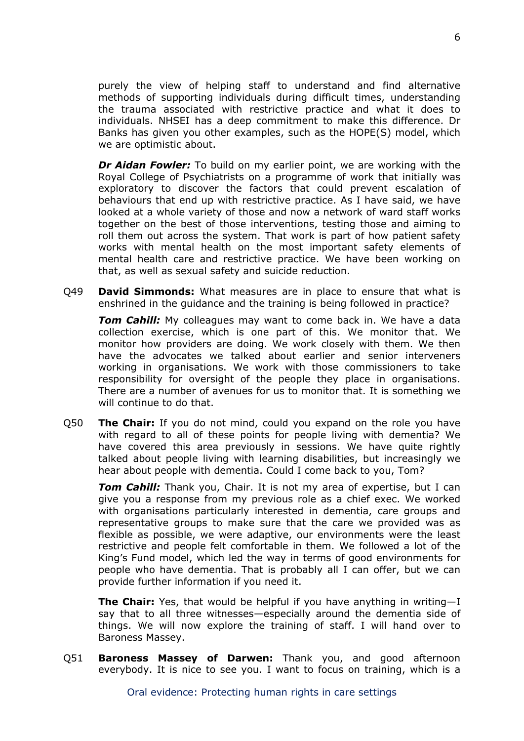purely the view of helping staff to understand and find alternative methods of supporting individuals during difficult times, understanding the trauma associated with restrictive practice and what it does to individuals. NHSEI has a deep commitment to make this difference. Dr Banks has given you other examples, such as the HOPE(S) model, which we are optimistic about.

*Dr Aidan Fowler:* To build on my earlier point, we are working with the Royal College of Psychiatrists on a programme of work that initially was exploratory to discover the factors that could prevent escalation of behaviours that end up with restrictive practice. As I have said, we have looked at a whole variety of those and now a network of ward staff works together on the best of those interventions, testing those and aiming to roll them out across the system. That work is part of how patient safety works with mental health on the most important safety elements of mental health care and restrictive practice. We have been working on that, as well as sexual safety and suicide reduction.

Q49 **David Simmonds:** What measures are in place to ensure that what is enshrined in the guidance and the training is being followed in practice?

*Tom Cahill:* My colleagues may want to come back in. We have a data collection exercise, which is one part of this. We monitor that. We monitor how providers are doing. We work closely with them. We then have the advocates we talked about earlier and senior interveners working in organisations. We work with those commissioners to take responsibility for oversight of the people they place in organisations. There are a number of avenues for us to monitor that. It is something we will continue to do that.

Q50 **The Chair:** If you do not mind, could you expand on the role you have with regard to all of these points for people living with dementia? We have covered this area previously in sessions. We have quite rightly talked about people living with learning disabilities, but increasingly we hear about people with dementia. Could I come back to you, Tom?

*Tom Cahill:* Thank you, Chair. It is not my area of expertise, but I can give you a response from my previous role as a chief exec. We worked with organisations particularly interested in dementia, care groups and representative groups to make sure that the care we provided was as flexible as possible, we were adaptive, our environments were the least restrictive and people felt comfortable in them. We followed a lot of the King's Fund model, which led the way in terms of good environments for people who have dementia. That is probably all I can offer, but we can provide further information if you need it.

**The Chair:** Yes, that would be helpful if you have anything in writing—I say that to all three witnesses—especially around the dementia side of things. We will now explore the training of staff. I will hand over to Baroness Massey.

Q51 **Baroness Massey of Darwen:** Thank you, and good afternoon everybody. It is nice to see you. I want to focus on training, which is a

Oral evidence: Protecting human rights in care settings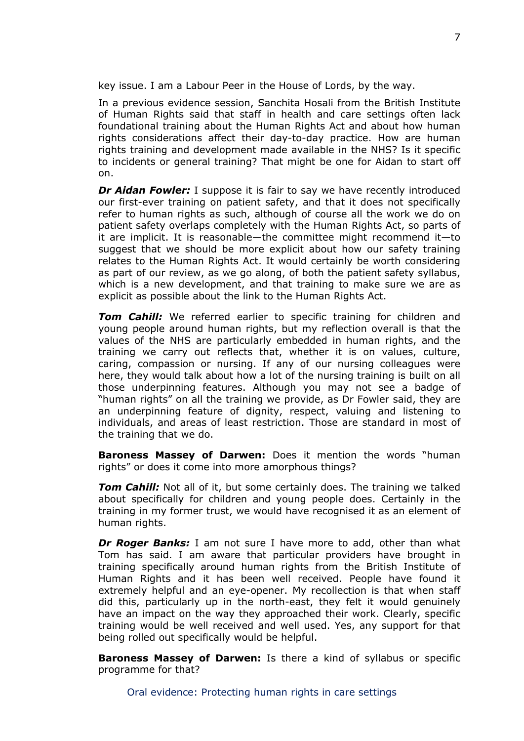key issue. I am a Labour Peer in the House of Lords, by the way.

In a previous evidence session, Sanchita Hosali from the British Institute of Human Rights said that staff in health and care settings often lack foundational training about the Human Rights Act and about how human rights considerations affect their day-to-day practice. How are human rights training and development made available in the NHS? Is it specific to incidents or general training? That might be one for Aidan to start off on.

*Dr Aidan Fowler:* I suppose it is fair to say we have recently introduced our first-ever training on patient safety, and that it does not specifically refer to human rights as such, although of course all the work we do on patient safety overlaps completely with the Human Rights Act, so parts of it are implicit. It is reasonable—the committee might recommend it—to suggest that we should be more explicit about how our safety training relates to the Human Rights Act. It would certainly be worth considering as part of our review, as we go along, of both the patient safety syllabus, which is a new development, and that training to make sure we are as explicit as possible about the link to the Human Rights Act.

*Tom Cahill:* We referred earlier to specific training for children and young people around human rights, but my reflection overall is that the values of the NHS are particularly embedded in human rights, and the training we carry out reflects that, whether it is on values, culture, caring, compassion or nursing. If any of our nursing colleagues were here, they would talk about how a lot of the nursing training is built on all those underpinning features. Although you may not see a badge of "human rights" on all the training we provide, as Dr Fowler said, they are an underpinning feature of dignity, respect, valuing and listening to individuals, and areas of least restriction. Those are standard in most of the training that we do.

**Baroness Massey of Darwen:** Does it mention the words "human rights" or does it come into more amorphous things?

**Tom Cahill:** Not all of it, but some certainly does. The training we talked about specifically for children and young people does. Certainly in the training in my former trust, we would have recognised it as an element of human rights.

*Dr Roger Banks:* I am not sure I have more to add, other than what Tom has said. I am aware that particular providers have brought in training specifically around human rights from the British Institute of Human Rights and it has been well received. People have found it extremely helpful and an eye-opener. My recollection is that when staff did this, particularly up in the north-east, they felt it would genuinely have an impact on the way they approached their work. Clearly, specific training would be well received and well used. Yes, any support for that being rolled out specifically would be helpful.

**Baroness Massey of Darwen:** Is there a kind of syllabus or specific programme for that?

Oral evidence: Protecting human rights in care settings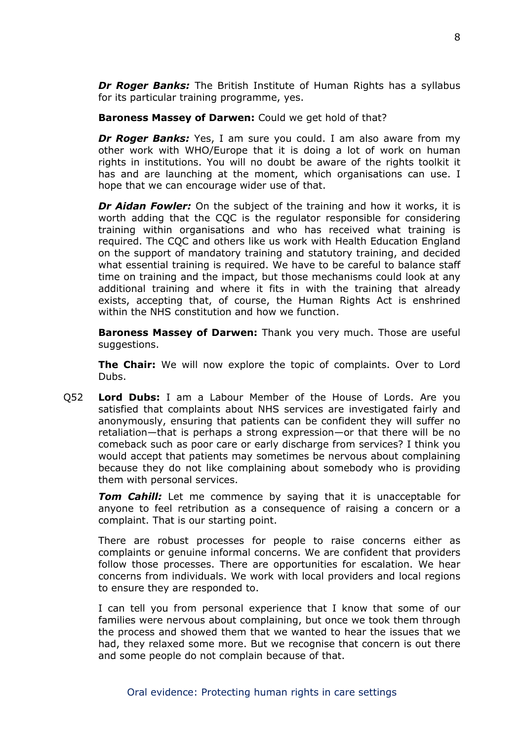*Dr Roger Banks:* The British Institute of Human Rights has a syllabus for its particular training programme, yes.

**Baroness Massey of Darwen:** Could we get hold of that?

*Dr Roger Banks:* Yes, I am sure you could. I am also aware from my other work with WHO/Europe that it is doing a lot of work on human rights in institutions. You will no doubt be aware of the rights toolkit it has and are launching at the moment, which organisations can use. I hope that we can encourage wider use of that.

*Dr Aidan Fowler:* On the subject of the training and how it works, it is worth adding that the CQC is the regulator responsible for considering training within organisations and who has received what training is required. The CQC and others like us work with Health Education England on the support of mandatory training and statutory training, and decided what essential training is required. We have to be careful to balance staff time on training and the impact, but those mechanisms could look at any additional training and where it fits in with the training that already exists, accepting that, of course, the Human Rights Act is enshrined within the NHS constitution and how we function.

**Baroness Massey of Darwen:** Thank you very much. Those are useful suggestions.

**The Chair:** We will now explore the topic of complaints. Over to Lord Dubs.

Q52 **Lord Dubs:** I am a Labour Member of the House of Lords. Are you satisfied that complaints about NHS services are investigated fairly and anonymously, ensuring that patients can be confident they will suffer no retaliation—that is perhaps a strong expression—or that there will be no comeback such as poor care or early discharge from services? I think you would accept that patients may sometimes be nervous about complaining because they do not like complaining about somebody who is providing them with personal services.

**Tom Cahill:** Let me commence by saying that it is unacceptable for anyone to feel retribution as a consequence of raising a concern or a complaint. That is our starting point.

There are robust processes for people to raise concerns either as complaints or genuine informal concerns. We are confident that providers follow those processes. There are opportunities for escalation. We hear concerns from individuals. We work with local providers and local regions to ensure they are responded to.

I can tell you from personal experience that I know that some of our families were nervous about complaining, but once we took them through the process and showed them that we wanted to hear the issues that we had, they relaxed some more. But we recognise that concern is out there and some people do not complain because of that.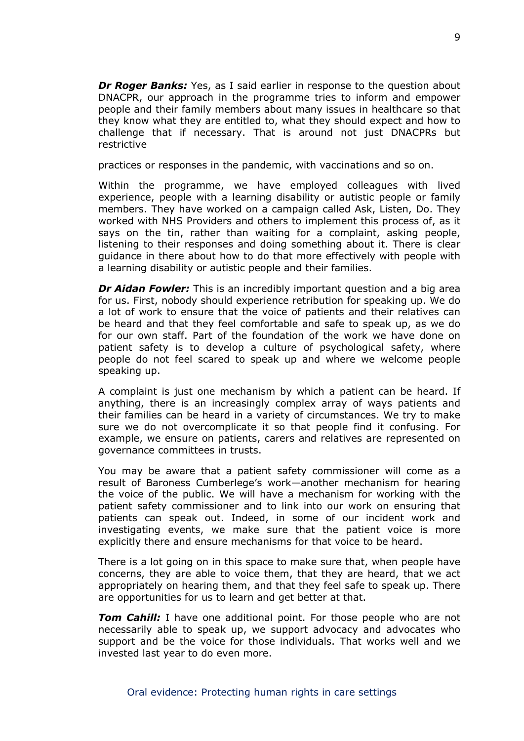*Dr Roger Banks:* Yes, as I said earlier in response to the question about DNACPR, our approach in the programme tries to inform and empower people and their family members about many issues in healthcare so that they know what they are entitled to, what they should expect and how to challenge that if necessary. That is around not just DNACPRs but restrictive

practices or responses in the pandemic, with vaccinations and so on.

Within the programme, we have employed colleagues with lived experience, people with a learning disability or autistic people or family members. They have worked on a campaign called Ask, Listen, Do. They worked with NHS Providers and others to implement this process of, as it says on the tin, rather than waiting for a complaint, asking people, listening to their responses and doing something about it. There is clear guidance in there about how to do that more effectively with people with a learning disability or autistic people and their families.

*Dr Aidan Fowler:* This is an incredibly important question and a big area for us. First, nobody should experience retribution for speaking up. We do a lot of work to ensure that the voice of patients and their relatives can be heard and that they feel comfortable and safe to speak up, as we do for our own staff. Part of the foundation of the work we have done on patient safety is to develop a culture of psychological safety, where people do not feel scared to speak up and where we welcome people speaking up.

A complaint is just one mechanism by which a patient can be heard. If anything, there is an increasingly complex array of ways patients and their families can be heard in a variety of circumstances. We try to make sure we do not overcomplicate it so that people find it confusing. For example, we ensure on patients, carers and relatives are represented on governance committees in trusts.

You may be aware that a patient safety commissioner will come as a result of Baroness Cumberlege's work—another mechanism for hearing the voice of the public. We will have a mechanism for working with the patient safety commissioner and to link into our work on ensuring that patients can speak out. Indeed, in some of our incident work and investigating events, we make sure that the patient voice is more explicitly there and ensure mechanisms for that voice to be heard.

There is a lot going on in this space to make sure that, when people have concerns, they are able to voice them, that they are heard, that we act appropriately on hearing them, and that they feel safe to speak up. There are opportunities for us to learn and get better at that.

*Tom Cahill:* I have one additional point. For those people who are not necessarily able to speak up, we support advocacy and advocates who support and be the voice for those individuals. That works well and we invested last year to do even more.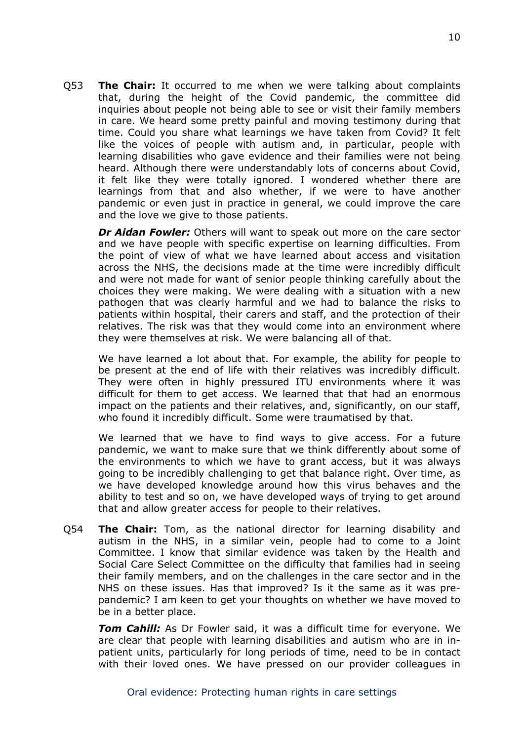Q53 **The Chair:** It occurred to me when we were talking about complaints that, during the height of the Covid pandemic, the committee did inquiries about people not being able to see or visit their family members in care. We heard some pretty painful and moving testimony during that time. Could you share what learnings we have taken from Covid? It felt like the voices of people with autism and, in particular, people with learning disabilities who gave evidence and their families were not being heard. Although there were understandably lots of concerns about Covid, it felt like they were totally ignored. I wondered whether there are learnings from that and also whether, if we were to have another pandemic or even just in practice in general, we could improve the care and the love we give to those patients.

*Dr Aidan Fowler:* Others will want to speak out more on the care sector and we have people with specific expertise on learning difficulties. From the point of view of what we have learned about access and visitation across the NHS, the decisions made at the time were incredibly difficult and were not made for want of senior people thinking carefully about the choices they were making. We were dealing with a situation with a new pathogen that was clearly harmful and we had to balance the risks to patients within hospital, their carers and staff, and the protection of their relatives. The risk was that they would come into an environment where they were themselves at risk. We were balancing all of that.

We have learned a lot about that. For example, the ability for people to be present at the end of life with their relatives was incredibly difficult. They were often in highly pressured ITU environments where it was difficult for them to get access. We learned that that had an enormous impact on the patients and their relatives, and, significantly, on our staff, who found it incredibly difficult. Some were traumatised by that.

We learned that we have to find ways to give access. For a future pandemic, we want to make sure that we think differently about some of the environments to which we have to grant access, but it was always going to be incredibly challenging to get that balance right. Over time, as we have developed knowledge around how this virus behaves and the ability to test and so on, we have developed ways of trying to get around that and allow greater access for people to their relatives.

Q54 **The Chair:** Tom, as the national director for learning disability and autism in the NHS, in a similar vein, people had to come to a Joint Committee. I know that similar evidence was taken by the Health and Social Care Select Committee on the difficulty that families had in seeing their family members, and on the challenges in the care sector and in the NHS on these issues. Has that improved? Is it the same as it was prepandemic? I am keen to get your thoughts on whether we have moved to be in a better place.

*Tom Cahill:* As Dr Fowler said, it was a difficult time for everyone. We are clear that people with learning disabilities and autism who are in inpatient units, particularly for long periods of time, need to be in contact with their loved ones. We have pressed on our provider colleagues in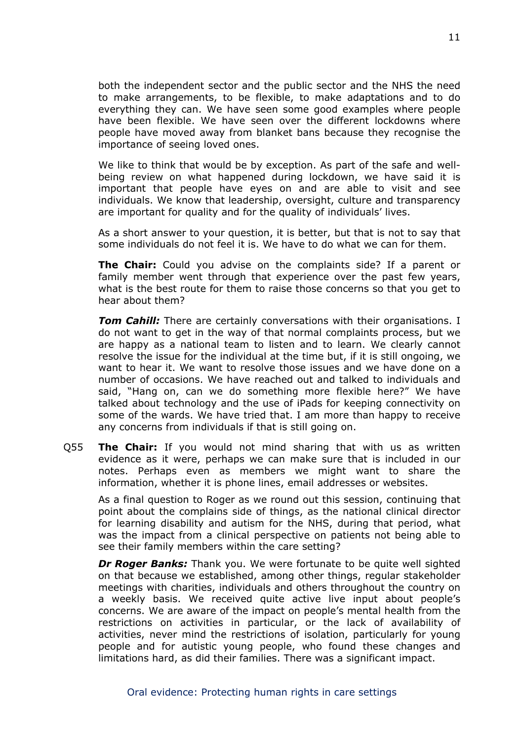both the independent sector and the public sector and the NHS the need to make arrangements, to be flexible, to make adaptations and to do everything they can. We have seen some good examples where people have been flexible. We have seen over the different lockdowns where people have moved away from blanket bans because they recognise the importance of seeing loved ones.

We like to think that would be by exception. As part of the safe and wellbeing review on what happened during lockdown, we have said it is important that people have eyes on and are able to visit and see individuals. We know that leadership, oversight, culture and transparency are important for quality and for the quality of individuals' lives.

As a short answer to your question, it is better, but that is not to say that some individuals do not feel it is. We have to do what we can for them.

**The Chair:** Could you advise on the complaints side? If a parent or family member went through that experience over the past few years, what is the best route for them to raise those concerns so that you get to hear about them?

*Tom Cahill:* There are certainly conversations with their organisations. I do not want to get in the way of that normal complaints process, but we are happy as a national team to listen and to learn. We clearly cannot resolve the issue for the individual at the time but, if it is still ongoing, we want to hear it. We want to resolve those issues and we have done on a number of occasions. We have reached out and talked to individuals and said, "Hang on, can we do something more flexible here?" We have talked about technology and the use of iPads for keeping connectivity on some of the wards. We have tried that. I am more than happy to receive any concerns from individuals if that is still going on.

Q55 **The Chair:** If you would not mind sharing that with us as written evidence as it were, perhaps we can make sure that is included in our notes. Perhaps even as members we might want to share the information, whether it is phone lines, email addresses or websites.

As a final question to Roger as we round out this session, continuing that point about the complains side of things, as the national clinical director for learning disability and autism for the NHS, during that period, what was the impact from a clinical perspective on patients not being able to see their family members within the care setting?

*Dr Roger Banks:* Thank you. We were fortunate to be quite well sighted on that because we established, among other things, regular stakeholder meetings with charities, individuals and others throughout the country on a weekly basis. We received quite active live input about people's concerns. We are aware of the impact on people's mental health from the restrictions on activities in particular, or the lack of availability of activities, never mind the restrictions of isolation, particularly for young people and for autistic young people, who found these changes and limitations hard, as did their families. There was a significant impact.